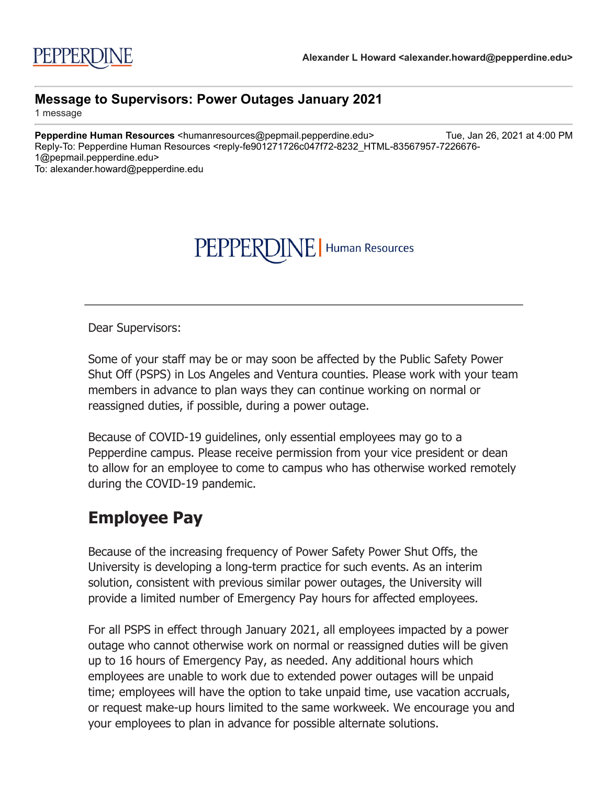## PEPPERDINE | Human Resources

Dear Supervisors:

Some of your staff may be or may soon be affected by the Public Safety Power Shut Off (PSPS) in Los Angeles and Ventura counties. Please work with your team members in advance to plan ways they can continue working on normal or reassigned duties, if possible, during a power outage.

Because of COVID-19 guidelines, only essential employees may go to a Pepperdine campus. Please receive permission from your vice president or dean to allow for an employee to come to campus who has otherwise worked remotely during the COVID-19 pandemic.

## **Employee Pay**

Because of the increasing frequency of Power Safety Power Shut Offs, the University is developing a long-term practice for such events. As an interim solution, consistent with previous similar power outages, the University will provide a limited number of Emergency Pay hours for affected employees.

For all PSPS in effect through January 2021, all employees impacted by a power outage who cannot otherwise work on normal or reassigned duties will be given up to 16 hours of Emergency Pay, as needed. Any additional hours which employees are unable to work due to extended power outages will be unpaid time; employees will have the option to take unpaid time, use vacation accruals, or request make-up hours limited to the same workweek. We encourage you and your employees to plan in advance for possible alternate solutions.